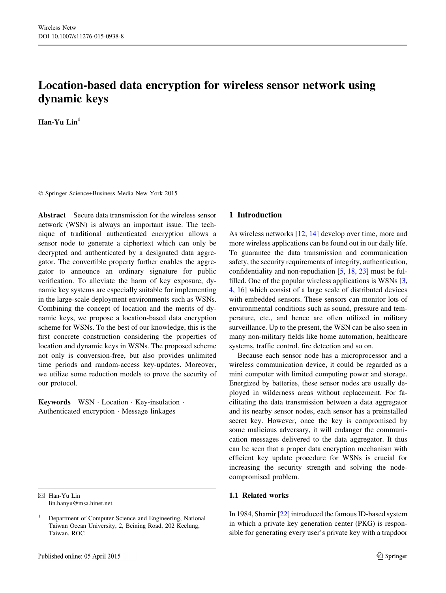# Location-based data encryption for wireless sensor network using dynamic keys

Han-Yu Lin<sup>1</sup>

- Springer Science+Business Media New York 2015

Abstract Secure data transmission for the wireless sensor network (WSN) is always an important issue. The technique of traditional authenticated encryption allows a sensor node to generate a ciphertext which can only be decrypted and authenticated by a designated data aggregator. The convertible property further enables the aggregator to announce an ordinary signature for public verification. To alleviate the harm of key exposure, dynamic key systems are especially suitable for implementing in the large-scale deployment environments such as WSNs. Combining the concept of location and the merits of dynamic keys, we propose a location-based data encryption scheme for WSNs. To the best of our knowledge, this is the first concrete construction considering the properties of location and dynamic keys in WSNs. The proposed scheme not only is conversion-free, but also provides unlimited time periods and random-access key-updates. Moreover, we utilize some reduction models to prove the security of our protocol.

Keywords WSN - Location - Key-insulation - Authenticated encryption - Message linkages

 $\boxtimes$  Han-Yu Lin lin.hanyu@msa.hinet.net

# 1 Introduction

As wireless networks [[12,](#page-6-0) [14\]](#page-6-0) develop over time, more and more wireless applications can be found out in our daily life. To guarantee the data transmission and communication safety, the security requirements of integrity, authentication, confidentiality and non-repudiation [[5,](#page-6-0) [18](#page-6-0), [23](#page-6-0)] must be fulfilled. One of the popular wireless applications is WSNs [[3,](#page-6-0) [4](#page-6-0), [16\]](#page-6-0) which consist of a large scale of distributed devices with embedded sensors. These sensors can monitor lots of environmental conditions such as sound, pressure and temperature, etc., and hence are often utilized in military surveillance. Up to the present, the WSN can be also seen in many non-military fields like home automation, healthcare systems, traffic control, fire detection and so on.

Because each sensor node has a microprocessor and a wireless communication device, it could be regarded as a mini computer with limited computing power and storage. Energized by batteries, these sensor nodes are usually deployed in wilderness areas without replacement. For facilitating the data transmission between a data aggregator and its nearby sensor nodes, each sensor has a preinstalled secret key. However, once the key is compromised by some malicious adversary, it will endanger the communication messages delivered to the data aggregator. It thus can be seen that a proper data encryption mechanism with efficient key update procedure for WSNs is crucial for increasing the security strength and solving the nodecompromised problem.

### 1.1 Related works

In 1984, Shamir [[22\]](#page-6-0) introduced the famous ID-based system in which a private key generation center (PKG) is responsible for generating every user's private key with a trapdoor

<sup>1</sup> Department of Computer Science and Engineering, National Taiwan Ocean University, 2, Beining Road, 202 Keelung, Taiwan, ROC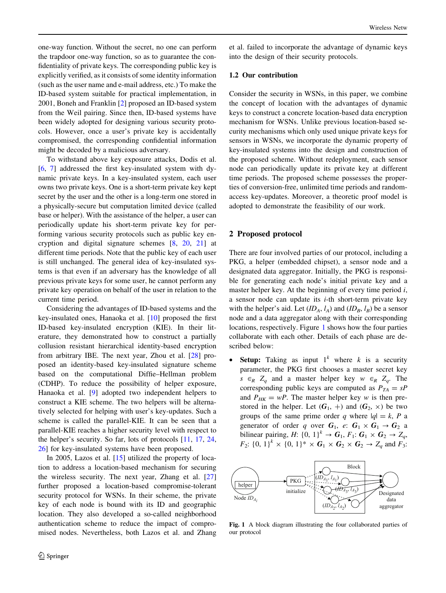one-way function. Without the secret, no one can perform the trapdoor one-way function, so as to guarantee the confidentiality of private keys. The corresponding public key is explicitly verified, as it consists of some identity information (such as the user name and e-mail address, etc.) To make the ID-based system suitable for practical implementation, in 2001, Boneh and Franklin [[2\]](#page-6-0) proposed an ID-based system from the Weil pairing. Since then, ID-based systems have been widely adopted for designing various security protocols. However, once a user's private key is accidentally compromised, the corresponding confidential information might be decoded by a malicious adversary.

To withstand above key exposure attacks, Dodis et al. [\[6](#page-6-0), [7\]](#page-6-0) addressed the first key-insulated system with dynamic private keys. In a key-insulated system, each user owns two private keys. One is a short-term private key kept secret by the user and the other is a long-term one stored in a physically-secure but computation limited device (called base or helper). With the assistance of the helper, a user can periodically update his short-term private key for performing various security protocols such as public key encryption and digital signature schemes [[8,](#page-6-0) [20,](#page-6-0) [21](#page-6-0)] at different time periods. Note that the public key of each user is still unchanged. The general idea of key-insulated systems is that even if an adversary has the knowledge of all previous private keys for some user, he cannot perform any private key operation on behalf of the user in relation to the current time period.

Considering the advantages of ID-based systems and the key-insulated ones, Hanaoka et al. [\[10](#page-6-0)] proposed the first ID-based key-insulated encryption (KIE). In their literature, they demonstrated how to construct a partially collusion resistant hierarchical identity-based encryption from arbitrary IBE. The next year, Zhou et al. [\[28](#page-7-0)] proposed an identity-based key-insulated signature scheme based on the computational Diffie–Hellman problem (CDHP). To reduce the possibility of helper exposure, Hanaoka et al. [[9\]](#page-6-0) adopted two independent helpers to construct a KIE scheme. The two helpers will be alternatively selected for helping with user's key-updates. Such a scheme is called the parallel-KIE. It can be seen that a parallel-KIE reaches a higher security level with respect to the helper's security. So far, lots of protocols [[11,](#page-6-0) [17,](#page-6-0) [24,](#page-6-0) [26\]](#page-7-0) for key-insulated systems have been proposed.

In 2005, Lazos et al. [\[15](#page-6-0)] utilized the property of location to address a location-based mechanism for securing the wireless security. The next year, Zhang et al. [[27\]](#page-7-0) further proposed a location-based compromise-tolerant security protocol for WSNs. In their scheme, the private key of each node is bound with its ID and geographic location. They also developed a so-called neighborhood authentication scheme to reduce the impact of compromised nodes. Nevertheless, both Lazos et al. and Zhang et al. failed to incorporate the advantage of dynamic keys into the design of their security protocols.

#### 1.2 Our contribution

Consider the security in WSNs, in this paper, we combine the concept of location with the advantages of dynamic keys to construct a concrete location-based data encryption mechanism for WSNs. Unlike previous location-based security mechanisms which only used unique private keys for sensors in WSNs, we incorporate the dynamic property of key-insulated systems into the design and construction of the proposed scheme. Without redeployment, each sensor node can periodically update its private key at different time periods. The proposed scheme possesses the properties of conversion-free, unlimited time periods and randomaccess key-updates. Moreover, a theoretic proof model is adopted to demonstrate the feasibility of our work.

#### 2 Proposed protocol

There are four involved parties of our protocol, including a PKG, a helper (embedded chipset), a sensor node and a designated data aggregator. Initially, the PKG is responsible for generating each node's initial private key and a master helper key. At the beginning of every time period  $i$ , a sensor node can update its  $i$ -th short-term private key with the helper's aid. Let  $(ID_A, l_A)$  and  $(ID_B, l_B)$  be a sensor node and a data aggregator along with their corresponding locations, respectively. Figure 1 shows how the four parties collaborate with each other. Details of each phase are described below:

**Setup:** Taking as input  $1^k$  where k is a security parameter, the PKG first chooses a master secret key  $s \in_R Z_q$  and a master helper key  $w \in_R Z_q$ . The corresponding public keys are computed as  $P_{TA} = sP$ and  $P_{HK} = wP$ . The master helper key w is then prestored in the helper. Let  $(G_1, +)$  and  $(G_2, \times)$  be two groups of the same prime order q where  $|q| = k$ , P a generator of order q over  $G_1$ , e:  $G_1 \times G_1 \rightarrow G_2$  a bilinear pairing, H:  $\{0, 1\}^k \rightarrow G_1, F_1: G_1 \times G_2 \rightarrow Z_q$ ,  $F_2$ : {0, 1}<sup>k</sup> × {0, 1}<sup>\*</sup> ×  $G_1$  ×  $G_2$  ×  $G_2$  →  $Z_q$  and  $F_3$ :



Fig. 1 A block diagram illustrating the four collaborated parties of our protocol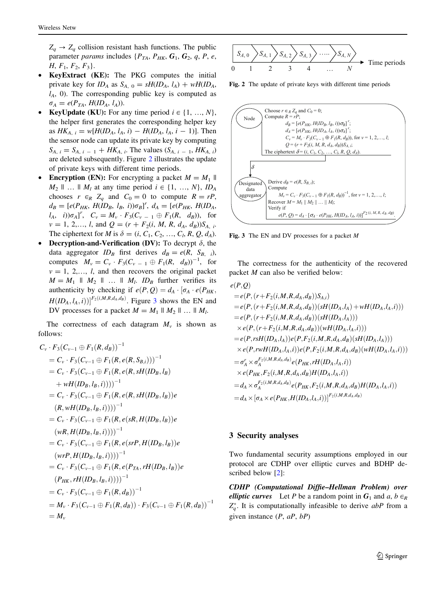$Z_a \rightarrow Z_a$  collision resistant hash functions. The public parameter *params* includes  $\{P_{TA}, P_{HK}, G_1, G_2, q, P, e, \}$  $H, F_1, F_2, F_3$ .

- KeyExtract (KE): The PKG computes the initial private key for ID<sub>A</sub> as  $S_{A, 0} = sH(D_A, l_A) + wH(D_A, l_B)$  $l_A$ , 0). The corresponding public key is computed as  $\sigma_A = e(P_{TA}, H(ID_A, l_A)).$
- **KeyUpdate (KU):** For any time period  $i \in \{1, ..., N\}$ , the helper first generates the corresponding helper key as  $HK_{A, i} = w[H(ID_A, l_A, i) - H(ID_A, l_A, i - 1)].$  Then the sensor node can update its private key by computing  $S_{A, i} = S_{A, i - 1} + H K_{A, i}$ . The values  $(S_{A, i - 1}, H K_{A, i})$ are deleted subsequently. Figure 2 illustrates the update of private keys with different time periods.
- Encryption (EN): For encrypting a packet  $M = M_1$  ||  $M_2$  || ... ||  $M_1$  at any time period  $i \in \{1, ..., N\}, ID_A$ chooses  $r \in_R Z_a$  and  $C_0 = 0$  to compute  $R = rP$ ,  $d_B = [e(P_{HK}, H(ID_B, l_B, i))\sigma_B]^r$ ,  $d_A = [e(P_{HK}, H(ID_A, i))\sigma_B]^r$  $[l_A, i)]\sigma_A]$ ,  $C_v = M_v \cdot F_3(C_{v-1} \oplus F_1(R, d_B))$ , for  $v = 1, 2,..., l$ , and  $Q = (r + F_2(i, M, R, d_A, d_B))S_{A, i}$ . The ciphertext for M is  $\delta = (i, C_1, C_2, ..., C_l, R, Q, d_A)$ .
- **Decryption-and-Verification (DV):** To decrypt  $\delta$ , the data aggregator  $ID_B$  first derives  $d_B = e(R, S_{B, i})$ , computes  $M_v = C_v \cdot F_3(C_{v-1} \oplus F_1(R, d_B))^{-1}$ , for  $v = 1, 2,..., l$ , and then recovers the original packet  $M = M_1 \parallel M_2 \parallel \ldots \parallel M_l$ .  $ID_B$  further verifies its authenticity by checking if  $e(P,Q) = d_A \cdot [\sigma_A \cdot e(P_{HK},$  $H(ID_A, l_A, i))]^{F_2(i,M,R,d_A,d_B)}$ . Figure 3 shows the EN and DV processes for a packet  $M = M_1 || M_2 || ... || M_l$ .

The correctness of each datagram  $M_{\nu}$  is shown as follows:

$$
C_{\nu} \cdot F_{3}(C_{\nu-1} \oplus F_{1}(R, d_{B}))^{-1}
$$
  
=  $C_{\nu} \cdot F_{3}(C_{\nu-1} \oplus F_{1}(R, e(R, S_{B,i})))^{-1}$   
=  $C_{\nu} \cdot F_{3}(C_{\nu-1} \oplus F_{1}(R, e(R, sH(ID_{B}, l_{B}))$   
+  $wH(ID_{B}, l_{B}, i))))^{-1}$   
=  $C_{\nu} \cdot F_{3}(C_{\nu-1} \oplus F_{1}(R, e(R, sH(ID_{B}, l_{B}))e$   
 $(R, wH(ID_{B}, l_{B}, i))))^{-1}$   
=  $C_{\nu} \cdot F_{3}(C_{\nu-1} \oplus F_{1}(R, e(sR, H(ID_{B}, l_{B}))e$   
 $(wR, H(ID_{B}, l_{B}, i))))^{-1}$   
=  $C_{\nu} \cdot F_{3}(C_{\nu-1} \oplus F_{1}(R, e(srP, H(ID_{B}, l_{B}))e$   
 $(wrP, H(ID_{B}, l_{B}, i))))^{-1}$   
=  $C_{\nu} \cdot F_{3}(C_{\nu-1} \oplus F_{1}(R, e(P_{TA}, rH(ID_{B}, l_{B}))e$   
 $(P_{HK}, rH(ID_{B}, l_{B}, i))))^{-1}$   
=  $C_{\nu} \cdot F_{3}(C_{\nu-1} \oplus F_{1}(R, d_{B}))^{-1}$   
=  $M_{\nu} \cdot F_{3}(C_{\nu-1} \oplus F_{1}(R, d_{B})) \cdot F_{3}(C_{\nu-1} \oplus F_{1}(R, d_{B}))^{-1}$   
=  $M_{\nu}$ 



Fig. 2 The update of private keys with different time periods



Fig. 3 The EN and DV processes for a packet M

The correctness for the authenticity of the recovered packet M can also be verified below:

$$
e(P,Q)
$$
  
\n
$$
= e(P, (r + F_2(i, M, R, d_A, d_B))S_{A,i})
$$
  
\n
$$
= e(P, (r + F_2(i, M, R, d_A, d_B))(sH(ID_A, l_A) + wH(ID_A, l_A, i)))
$$
  
\n
$$
= e(P, (r + F_2(i, M, R, d_A, d_B))(sH(ID_A, l_A)))
$$
  
\n
$$
\times e(P, (r + F_2(i, M, R, d_A, d_B))(wH(ID_A, l_A, i)))
$$
  
\n
$$
= e(P, r s H(ID_A, l_A))e(P, F_2(i, M, R, d_A, d_B)(sH(ID_A, l_A)))
$$
  
\n
$$
\times e(P, r w H(ID_A, l_A, i))e(P, F_2(i, M, R, d_A, d_B)(wH(ID_A, l_A, i)))
$$
  
\n
$$
= \sigma_A^r \times \sigma_A^{F_2(i, M, R, d_A, d_B)}e(P_{HK}, rH(ID_A, l_A, i))
$$
  
\n
$$
= d_A \times \sigma_A^{F_2(i, M, R, d_A, d_B)}e(P_{HK}, F_2(i, M, R, d_A, d_B)H(ID_A, l_A, i))
$$
  
\n
$$
= d_A \times [\sigma_A \times e(P_{HK}, H(ID_A, l_A, i))]^{F_2(i, M, R, d_A, d_B)}
$$

#### 3 Security analyses

Two fundamental security assumptions employed in our protocol are CDHP over elliptic curves and BDHP described below [\[2](#page-6-0)]:

CDHP (Computational Diffie–Hellman Problem) over elliptic curves Let P be a random point in  $G_1$  and  $a, b \in_R$  $Z_q^*$ . It is computationally infeasible to derive abP from a given instance  $(P, aP, bP)$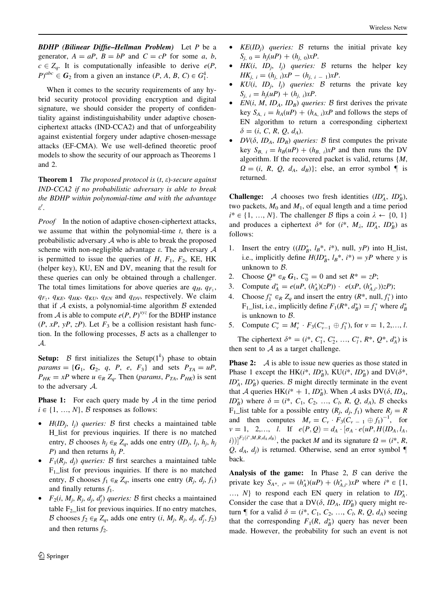**BDHP** (Bilinear Diffie–Hellman Problem) Let P be a generator,  $A = aP$ ,  $B = bP$  and  $C = cP$  for some a, b,  $c \in Z_a$ . It is computationally infeasible to derive  $e(P, \theta)$  $P)^{abc} \in G_2$  from a given an instance  $(P, A, B, C) \in G_1^4$ .

When it comes to the security requirements of any hybrid security protocol providing encryption and digital signature, we should consider the property of confidentiality against indistinguishability under adaptive chosenciphertext attacks (IND-CCA2) and that of unforgeability against existential forgery under adaptive chosen-message attacks (EF-CMA). We use well-defined theoretic proof models to show the security of our approach as Theorems 1 and 2.

**Theorem 1** The proposed protocol is  $(t, \varepsilon)$ -secure against IND-CCA2 if no probabilistic adversary is able to break the BDHP within polynomial-time and with the advantage  $\varepsilon'.$ 

Proof In the notion of adaptive chosen-ciphertext attacks, we assume that within the polynomial-time  $t$ , there is a probabilistic adversary  $A$  who is able to break the proposed scheme with non-negligible advantage  $\varepsilon$ . The adversary  $A$ is permitted to issue the queries of  $H$ ,  $F_1$ ,  $F_2$ , KE, HK (helper key), KU, EN and DV, meaning that the result for these queries can only be obtained through a challenger. The total times limitations for above queries are  $q_H$ ,  $q_F$ .  $q_F$ ,  $q_{KE}$ ,  $q_{HK}$ ,  $q_{KU}$ ,  $q_{EN}$  and  $q_{DV}$ , respectively. We claim that if  $A$  exists, a polynomial-time algorithm  $B$  extended from A is able to compute  $e(P, P)^{xyz}$  for the BDHP instance  $(P, xP, yP, zP)$ . Let  $F_3$  be a collision resistant hash function. In the following processes,  $\beta$  acts as a challenger to A.

Setup: B first initializes the Setup( $1^k$ ) phase to obtain params = { $G_1$ ,  $G_2$ ,  $q$ ,  $P$ ,  $e$ ,  $F_3$ } and sets  $P_{TA} = uP$ ,  $P_{HK} = xP$  where  $u \in_R Z_q$ . Then (params,  $P_{TA}$ ,  $P_{HK}$ ) is sent to the adversary A.

**Phase 1:** For each query made by  $A$  in the time period  $i \in \{1, ..., N\}, \mathcal{B}$  responses as follows:

- $H(D_i, l_i)$  queries: B first checks a maintained table H\_list for previous inquiries. If there is no matched entry, B chooses  $h_i \in_R Z_q$ , adds one entry  $(ID_i, l_i, h_i, h_j]$ P) and then returns  $h_i$  P.
- $F_1(R_i, d_i)$  queries: B first searches a maintained table  $F_1$ \_list for previous inquiries. If there is no matched entry, B chooses  $f_1 \in_R Z_q$ , inserts one entry  $(R_j, d_j, f_1)$ and finally returns  $f_1$ .
- $F_2(i, M_j, R_j, d_j, d_j')$  queries: B first checks a maintained table  $F<sub>2</sub>$  list for previous inquiries. If no entry matches, B chooses  $f_2 \in_R Z_q$ , adds one entry  $(i, M_j, R_j, d_j, d'_j, f_2)$ and then returns  $f_2$ .
- $KE(ID_i)$  queries: B returns the initial private key  $S_{i, 0} = h_i(uP) + (h_{i, 0})xP$ .
- $HK(i, ID_i, l_i)$  queries: B returns the helper key  $HK_{i, i} = (h_{i, i})xP - (h_{i, i} = 1)xP.$
- $KU(i, ID<sub>j</sub>, l<sub>j</sub>)$  queries: B returns the private key  $S_{i, i} = h_i(uP) + (h_{i, i})xP.$
- $EN(i, M, ID<sub>A</sub>, ID<sub>B</sub>)$  queries: B first derives the private key  $S_{A, i} = h_A(uP) + (h_{A, i})xP$  and follows the steps of EN algorithm to return a corresponding ciphertext  $\delta = (i, C, R, Q, d_A).$
- $DV(\delta, ID_A, ID_B)$  queries: B first computes the private key  $S_{B, i} = h_B(uP) + (h_{B, i})xP$  and then runs the DV algorithm. If the recovered packet is valid, returns  $\{M,$  $\Omega = (i, R, Q, d_A, d_B)$ ; else, an error symbol  $\P$  is returned.

**Challenge:** A chooses two fresh identities  $(ID_A^*, ID_B^*)$ , two packets,  $M_0$  and  $M_1$ , of equal length and a time period  $i^* \in \{1, ..., N\}$ . The challenger B flips a coin  $\lambda \leftarrow \{0, 1\}$ and produces a ciphertext  $\delta^*$  for  $(i^*, M_\lambda, ID_A^*, ID_B^*)$  as follows:

- 1. Insert the entry  $((ID_B^*, l_B^*, i^*), null, yP)$  into H\_list, i.e., implicitly define  $H(ID_{B}^{*}, l_{B}^{*}, i^{*}) = yP$  where y is unknown to  $B$ .
- 2. Choose  $Q^* \in_R G_1$ ,  $C_0^* = 0$  and set  $R^* = zP$ ;
- 3. Compute  $d_A^* = e(uP, (h_A^*)(zP)) \cdot e(xP, (h_{A,i^*}^*))zP);$
- 4. Choose  $f_1^* \in_R Z_q$  and insert the entry  $(R^*$ , null,  $f_1^*$ ) into  $F_1$ \_list, i.e., implicitly define  $F_1(R^*, d_B^*) = f_1^*$  where  $d_B^*$ is unknown to  $B$ .
- 5. Compute  $C_v^* = M_v^* \cdot F_3(C_{v-1}^* \oplus f_1^*)$ , for  $v = 1, 2, ..., l$ .

The ciphertext  $\delta^* = (i^*, C_1^*, C_2^*, ..., C_l^*, R^*, Q^*, d_A^*)$  is then sent to  $A$  as a target challenge.

**Phase 2:** A is able to issue new queries as those stated in Phase 1 except the HK( $i^*$ ,  $ID_B^*$ ), KU( $i^*$ ,  $ID_B^*$ ) and DV( $\delta^*$ ,  $ID_A^*$ ,  $ID_B^*$ ) queries. B might directly terminate in the event that A queries HK( $i^* + 1$ ,  $ID_B^*$ ). When A asks DV( $\delta$ ,  $ID_A$ ,  $ID_B^*$ ) where  $\delta = (i^*, C_1, C_2, ..., C_l, R, Q, d_A)$ ,  $\beta$  checks  $F_1$ \_list table for a possible entry  $(R_i, d_i, f_1)$  where  $R_i = R$ and then computes  $M_v = C_v \cdot F_3(C_{v-1} \oplus f_1)^{-1}$ , for  $v = 1, 2,..., l.$  If  $e(P,Q) = d_A \cdot [\sigma_A \cdot e(uP, H(ID_A, l_A,$  $[i])$ ]<sup>F<sub>2</sub>(i<sup>\*</sup>,M,R,d<sub>A</sub>,d<sub>B</sub>)</sup>, the packet M and its signature  $\Omega = (i^*, R,$ Q,  $d_A$ ,  $d_i$ ) is returned. Otherwise, send an error symbol back.

Analysis of the game: In Phase 2,  $\beta$  can derive the private key  $S_{A^*, i^*} = (h^*_A)(uP) + (h^*_{A,i^*})xP$  where  $i^* \in \{1,$ ...,  $N$ } to respond each EN query in relation to  $ID_A^*$ . Consider the case that a DV( $\delta$ ,  $ID_A$ ,  $ID_B^*$ ) query might return  $\P$  for a valid  $\delta = (i^*, C_1, C_2, ..., C_l, R, Q, d_A)$  seeing that the corresponding  $F_1(R, d_B^*)$  query has never been made. However, the probability for such an event is not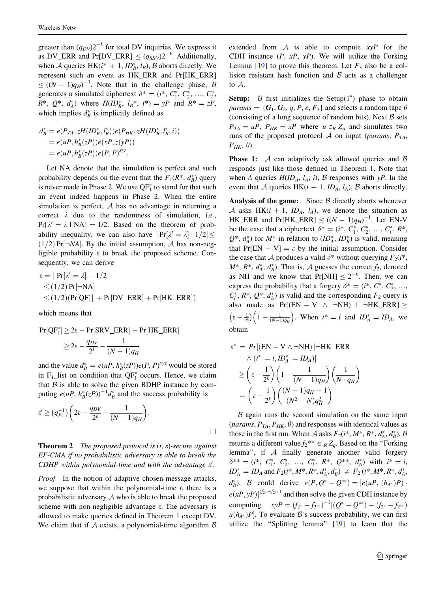greater than  $(q_{DV})2^{-k}$  for total DV inquiries. We express it as DV\_ERR and Pr[DV\_ERR]  $\leq (q_{SRV})2^{-k}$ . Additionally, when A queries HK( $i^* + 1$ ,  $ID_B^*$ ,  $l_B$ ),  $\beta$  aborts directly. We represent such an event as HK\_ERR and Pr[HK\_ERR]  $\leq ((N-1)q_H)^{-1}$ . Note that in the challenge phase, B generates a simulated ciphertext  $\delta^* = (i^*, C_1^*, C_2^*, ..., C_l^*)$  $R^*$ ,  $Q^*$ ,  $d_A^*$ ) where  $H(ID_B^*, l_B^*, i^*) = yP$  and  $R^* = zP$ , which implies  $d^*$  is implicitly defined as

$$
d_B^* = e(P_{TA}, zH(ID_B^*, l_B^*))e(P_{HK}, zH(ID_B^*, l_B^*, i))
$$
  
=  $e(uP, h_B^*(zP))e(xP, z(yP))$   
=  $e(uP, h_B^*(zP))e(P, P)^{xyz}$ .

Let NA denote that the simulation is perfect and such probability depends on the event that the  $F_1(R^*, d_B^*)$  query is never made in Phase 2. We use  $QF_1^*$  to stand for that such an event indeed happens in Phase 2. When the entire simulation is perfect,  $A$  has no advantage in returning a correct  $\lambda$  due to the randomness of simulation, i.e.,  $Pr[\lambda' = \lambda \mid NA] = 1/2$ . Based on the theorem of probability inequality, we can also have  $|Pr[\lambda' = \lambda]-1/2|$  $(1/2)$  Pr[ $\neg$ NA]. By the initial assumption, A has non-negligible probability  $\varepsilon$  to break the proposed scheme. Consequently, we can derive

$$
\varepsilon = | \Pr[\lambda' = \lambda] - 1/2 |
$$
  
\n
$$
\leq (1/2) \Pr[\neg NA]
$$
  
\n
$$
\leq (1/2) (\Pr[QF_1^*] + \Pr[DV\_ERR] + \Pr[HK\_ERR])
$$

which means that

$$
Pr[QF_1^*] \ge 2\varepsilon - Pr[SRV\_ERR] - Pr[HK\_ERR]
$$

$$
\ge 2\varepsilon - \frac{q_{DV}}{2^k} - \frac{1}{(N-1)q_H}
$$

and the value  $d^*_B = e(uP, h^*_B(zP))e(P, P)^{xyz}$  would be stored in  $F_1$ \_list on condition that QF<sup>\*</sup><sub>1</sub> occurs. Hence, we claim that  $B$  is able to solve the given BDHP instance by computing  $e(uP, h_B^*(zP))^{-1}d_B^*$  and the success probability is

$$
\varepsilon' \ge \left( q_{F1}^{-1} \right) \left( 2\varepsilon - \frac{q_{DV}}{2^k} - \frac{1}{(N-1)q_H} \right).
$$

**Theorem 2** The proposed protocol is  $(t, \varepsilon)$ -secure against EF-CMA if no probabilistic adversary is able to break the CDHP within polynomial-time and with the advantage  $\varepsilon'$ .

Proof In the notion of adaptive chosen-message attacks, we suppose that within the polynomial-time  $t$ , there is a probabilistic adversary  $A$  who is able to break the proposed scheme with non-negligible advantage  $\varepsilon$ . The adversary is allowed to make queries defined in Theorem 1 except DV. We claim that if  $A$  exists, a polynomial-time algorithm  $B$  extended from  $A$  is able to compute  $xyP$  for the CDH instance  $(P, xP, yP)$ . We will utilize the Forking Lemma [[19\]](#page-6-0) to prove this theorem. Let  $F_3$  also be a collision resistant hash function and  $\beta$  acts as a challenger to A.

Setup:  $\beta$  first initializes the Setup(1<sup>k</sup>) phase to obtain params = { $G_1$ ,  $G_2$ ,  $q$ ,  $P$ ,  $e$ ,  $F_3$ } and selects a random tape  $\theta$ (consisting of a long sequence of random bits). Next  $B$  sets  $P_{TA} = uP$ ,  $P_{HK} = xP$  where  $u \in_R Z_q$  and simulates two runs of the proposed protocol A on input (params,  $P_{TA}$ ,  $P_{HK}$ ,  $\theta$ ).

**Phase 1:**  $\mathcal A$  can adaptively ask allowed queries and  $\mathcal B$ responds just like those defined in Theorem 1. Note that when A queries  $H(ID_A, l_A, i)$ ,  $B$  responses with  $yP$ . In the event that A queries HK( $i + 1$ ,  $ID_A$ ,  $l_A$ ), B aborts directly.

Analysis of the game: Since  $\beta$  directly aborts whenever A asks HK( $i + 1$ , ID<sub>A</sub>,  $l_A$ ), we denote the situation as HK\_ERR and Pr[HK\_ERR]  $\leq ((N - 1)q_H)^{-1}$ . Let EN-V be the case that a ciphertext  $\delta^* = (i^*, C_1^*, C_2^*, ..., C_l^*, R^*,$  $Q^*$ ,  $d_A^*$ ) for  $M^*$  in relation to  $(ID_A^*, ID_B^*)$  is valid, meaning that  $Pr[EN - V] = \varepsilon$  by the initial assumption. Consider the case that A produces a valid  $\delta^*$  without querying  $F_2(i^*$ ,  $M^*$ ,  $R^*$ ,  $d_A^*$ ,  $d_B^*$ ). That is,  $\mathcal A$  guesses the correct  $f_2$ , denoted as NH and we know that  $Pr[NH] \le 2^{-k}$ . Then, we can express the probability that a forgery  $\delta^* = (i^*, C_1^*, C_2^*, \dots,$  $C_l^*$ ,  $R^*$ ,  $Q^*$ ,  $d_A^*$ ) is valid and the corresponding  $F_2$  query is also made as  $Pr[(EN - V \land \neg NH) | \neg HK\_ERR] \ge$  $\varepsilon - \frac{1}{2^k}$  $\frac{1}{(z-\frac{1}{2^k})}\left(1-\frac{1}{(N-1)q_H}\right)$ . When  $i^* = i$  and  $ID_A^* = ID_A$ , we obtain

$$
\varepsilon^* = Pr[(EN - V \wedge \neg NH) | \neg HK\_ERR
$$
  
 
$$
\wedge (i^* = i, ID_A^* = ID_A)]
$$
  
 
$$
\geq \left(\varepsilon - \frac{1}{2^k}\right) \left(1 - \frac{1}{(N - 1)q_H}\right) \left(\frac{1}{N \cdot q_H}\right)
$$
  
 
$$
= \left(\varepsilon - \frac{1}{2^k}\right) \left(\frac{(N - 1)q_H - 1}{(N^2 - N)q_H^2}\right)
$$

 $\beta$  again runs the second simulation on the same input (*params*,  $P_{TA}$ ,  $P_{HK}$ ,  $\theta$ ) and responses with identical values as those in the first run. When A asks  $F_2(i^*, M^*, R^*, d_A^*, d_B^*)$ , B returns a different value  $f_2^{**} \in R \, Z_q$ . Based on the "Forking" lemma'', if A finally generate another valid forgery  $\delta^{**} = (i^*, C_1^*, C_2^*, ..., C_l^*, R^*, Q^{**}, d_A^*)$  with  $i^* = i$ ,  $ID_A^* = ID_A$  and  $F_2(i^*, M^*, R^*, d_A^*, d_B^*) \neq F_2(i^*, M^*, R^*, d_A^*,$  $d_B^*$ ), B could derive  $e(P, Q^* - Q^{**}) = [e(uP, (h_{A^*})P)$ .  $e(xP, yP)|^{(f_{2^*} - f_{2^{**}})}$  and then solve the given CDH instance by computing  $xyP = (f_{2^*} - f_{2^{**}})^{-1}[(Q^* - Q^{**}) - (f_{2^*} - f_{2^{**}})]$  $u(h_{A^*})P$ . To evaluate B's success probability, we can first utilize the ''Splitting lemma'' [[19\]](#page-6-0) to learn that the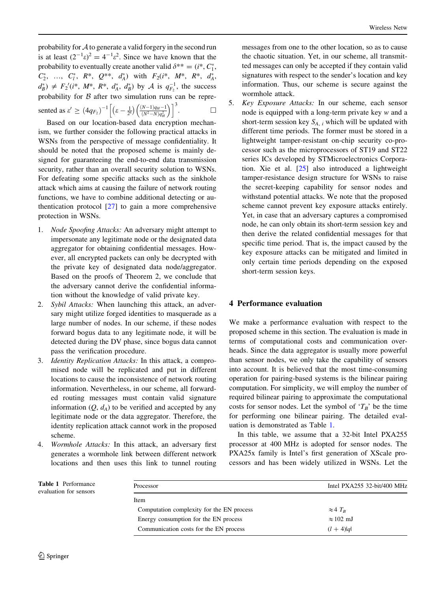probability for A to generate a valid forgery in the second run is at least  $(2^{-1}\epsilon)^2 = 4^{-1}\epsilon^2$ . Since we have known that the probability to eventually create another valid  $\delta^{**} = (i^*, C^*_1,$  $C_2^*$ , ...,  $C_l^*$ ,  $R^*$ ,  $Q^{**}$ ,  $d_A^*$ ) with  $F_2(i^*$ ,  $M^*$ ,  $R^*$ ,  $d_A^*$ ,  $d_B^*$ )  $\neq F_2'(i^*, M^*, R^*, d_A^*, d_B^*)$  by A is  $q_{F_2}^{-1}$ , the success probability for  $B$  after two simulation runs can be represented as  $\varepsilon' \geq (4q_{F_2})^{-1} \left| (\varepsilon - \frac{1}{2^k}) \right|$  $\int_{C} \frac{1}{\sqrt{(N-1)q_H-1}}$  $(N^2 - N)q_H^2$  $\lceil (N-1) \cdot (N-1) \rceil^3$  $\Box$ 

Based on our location-based data encryption mechanism, we further consider the following practical attacks in WSNs from the perspective of message confidentiality. It should be noted that the proposed scheme is mainly designed for guaranteeing the end-to-end data transmission security, rather than an overall security solution to WSNs. For defeating some specific attacks such as the sinkhole attack which aims at causing the failure of network routing functions, we have to combine additional detecting or authentication protocol [[27\]](#page-7-0) to gain a more comprehensive protection in WSNs.

- 1. Node Spoofing Attacks: An adversary might attempt to impersonate any legitimate node or the designated data aggregator for obtaining confidential messages. However, all encrypted packets can only be decrypted with the private key of designated data node/aggregator. Based on the proofs of Theorem 2, we conclude that the adversary cannot derive the confidential information without the knowledge of valid private key.
- 2. Sybil Attacks: When launching this attack, an adversary might utilize forged identities to masquerade as a large number of nodes. In our scheme, if these nodes forward bogus data to any legitimate node, it will be detected during the DV phase, since bogus data cannot pass the verification procedure.
- 3. Identity Replication Attacks: In this attack, a compromised node will be replicated and put in different locations to cause the inconsistence of network routing information. Nevertheless, in our scheme, all forwarded routing messages must contain valid signature information  $(Q, d_A)$  to be verified and accepted by any legitimate node or the data aggregator. Therefore, the identity replication attack cannot work in the proposed scheme.
- 4. Wormhole Attacks: In this attack, an adversary first generates a wormhole link between different network locations and then uses this link to tunnel routing

messages from one to the other location, so as to cause the chaotic situation. Yet, in our scheme, all transmitted messages can only be accepted if they contain valid signatures with respect to the sender's location and key information. Thus, our scheme is secure against the wormhole attack.

5. Key Exposure Attacks: In our scheme, each sensor node is equipped with a long-term private key w and a short-term session key  $S_{A,i}$  which will be updated with different time periods. The former must be stored in a lightweight tamper-resistant on-chip security co-processor such as the microprocessors of ST19 and ST22 series ICs developed by STMicroelectronics Corporation. Xie et al. [[25\]](#page-7-0) also introduced a lightweight tamper-resistance design structure for WSNs to raise the secret-keeping capability for sensor nodes and withstand potential attacks. We note that the proposed scheme cannot prevent key exposure attacks entirely. Yet, in case that an adversary captures a compromised node, he can only obtain its short-term session key and then derive the related confidential messages for that specific time period. That is, the impact caused by the key exposure attacks can be mitigated and limited in only certain time periods depending on the exposed short-term session keys.

# 4 Performance evaluation

We make a performance evaluation with respect to the proposed scheme in this section. The evaluation is made in terms of computational costs and communication overheads. Since the data aggregator is usually more powerful than sensor nodes, we only take the capability of sensors into account. It is believed that the most time-consuming operation for pairing-based systems is the bilinear pairing computation. For simplicity, we will employ the number of required bilinear pairing to approximate the computational costs for sensor nodes. Let the symbol of ' $T_B$ ' be the time for performing one bilinear pairing. The detailed evaluation is demonstrated as Table 1.

In this table, we assume that a 32-bit Intel PXA255 processor at 400 MHz is adopted for sensor nodes. The PXA25x family is Intel's first generation of XScale processors and has been widely utilized in WSNs. Let the

Processor Intel PXA255 32-bit/400 MHz Item Computation complexity for the EN process  $\approx 4$  T<sub>B</sub> Energy consumption for the EN process  $\approx 102$  mJ Communication costs for the EN process  $(l + 4)|q|$ 

Table 1 Performance evaluation for sensors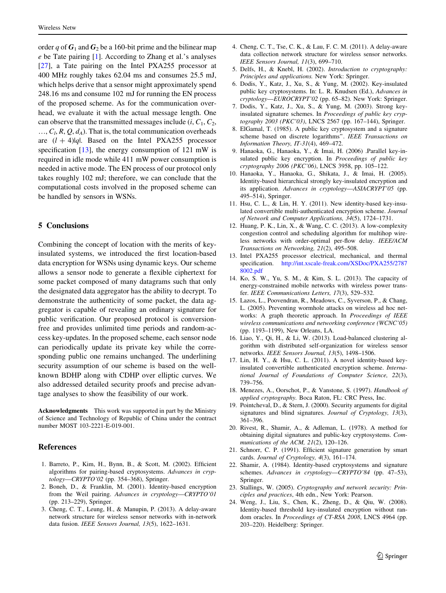<span id="page-6-0"></span>order q of  $G_1$  and  $G_2$  be a 160-bit prime and the bilinear map e be Tate pairing [1]. According to Zhang et al.'s analyses [\[27](#page-7-0)], a Tate pairing on the Intel PXA255 processor at 400 MHz roughly takes 62.04 ms and consumes 25.5 mJ, which helps derive that a sensor might approximately spend 248.16 ms and consume 102 mJ for running the EN process of the proposed scheme. As for the communication overhead, we evaluate it with the actual message length. One can observe that the transmitted messages include  $(i, C_1, C_2,$  $..., C_l, R, Q, d_A$ . That is, the total communication overheads are  $(l + 4)|q|$ . Based on the Intel PXA255 processor specification [13], the energy consumption of 121 mW is required in idle mode while 411 mW power consumption is needed in active mode. The EN process of our protocol only takes roughly 102 mJ; therefore, we can conclude that the computational costs involved in the proposed scheme can be handled by sensors in WSNs.

# 5 Conclusions

Combining the concept of location with the merits of keyinsulated systems, we introduced the first location-based data encryption for WSNs using dynamic keys. Our scheme allows a sensor node to generate a flexible ciphertext for some packet composed of many datagrams such that only the designated data aggregator has the ability to decrypt. To demonstrate the authenticity of some packet, the data aggregator is capable of revealing an ordinary signature for public verification. Our proposed protocol is conversionfree and provides unlimited time periods and random-access key-updates. In the proposed scheme, each sensor node can periodically update its private key while the corresponding public one remains unchanged. The underlining security assumption of our scheme is based on the wellknown BDHP along with CDHP over elliptic curves. We also addressed detailed security proofs and precise advantage analyses to show the feasibility of our work.

Acknowledgments This work was supported in part by the Ministry of Science and Technology of Republic of China under the contract number MOST 103-2221-E-019-001.

#### References

- 1. Barreto, P., Kim, H., Bynn, B., & Scott, M. (2002). Efficient algorithms for pairing-based cryptosystems. Advances in cryptology—CRYPTO'02 (pp. 354–368), Springer.
- 2. Boneh, D., & Franklin, M. (2001). Identity-based encryption from the Weil pairing. Advances in cryptology—CRYPTO'01 (pp. 213–229), Springer.
- 3. Cheng, C. T., Leung, H., & Manupin, P. (2013). A delay-aware network structure for wireless sensor networks with in-network data fusion. IEEE Sensors Journal, 13(5), 1622–1631.
- 4. Cheng, C. T., Tse, C. K., & Lau, F. C. M. (2011). A delay-aware data collection network structure for wireless sensor networks. IEEE Sensors Journal, 11(3), 699–710.
- 5. Delfs, H., & Knebl, H. (2002). Introduction to cryptography: Principles and applications. New York: Springer.
- 6. Dodis, Y., Katz, J., Xu, S., & Yung, M. (2002). Key-insulated public key cryptosystems. In: L. R. Knudsen (Ed.), Advances in cryptology—EUROCRYPT'02 (pp. 65–82). New York: Springer.
- 7. Dodis, Y., Katz, J., Xu, S., & Yung, M. (2003). Strong keyinsulated signature schemes. In Proceedings of public key cryptography 2003 (PKC'03), LNCS 2567 (pp. 167–144), Springer.
- 8. ElGamal, T. (1985). A public key cryptosystem and a signature scheme based on discrete logarithms''. IEEE Transactions on Information Theory, IT-31(4), 469–472.
- 9. Hanaoka, G., Hanaoka, Y., & Imai, H. (2006) .Parallel key-insulated public key encryption. In Proceedings of public key cryptography 2006 (PKC'06), LNCS 3958, pp. 105–122.
- 10. Hanaoka, Y., Hanaoka, G., Shikata, J., & Imai, H. (2005). Identity-based hierarchical strongly key-insulated encryption and its application. Advances in cryptology—ASIACRYPT'05 (pp. 495–514), Springer.
- 11. Hsu, C. L., & Lin, H. Y. (2011). New identity-based key-insulated convertible multi-authenticated encryption scheme. Journal of Network and Computer Applications, 34(5), 1724–1731.
- 12. Huang, P. K., Lin, X., & Wang, C. C. (2013). A low-complexity congestion control and scheduling algorithm for multihop wireless networks with order-optimal per-flow delay. IEEE/ACM Transactions on Networking, 21(2), 495–508.
- 13. Intel PXA255 processor electrical, mechanical, and thermal specification. [http://int.xscale-freak.com/XSDoc/PXA255/2787](http://int.xscale-freak.com/XSDoc/PXA255/27878002.pdf) [8002.pdf](http://int.xscale-freak.com/XSDoc/PXA255/27878002.pdf)
- 14. Ko, S. W., Yu, S. M., & Kim, S. L. (2013). The capacity of energy-constrained mobile networks with wireless power transfer. IEEE Communications Letters, 17(3), 529–532.
- 15. Lazos, L., Poovendran, R., Meadows, C., Syverson, P., & Chang, L. (2005). Preventing wormhole attacks on wireless ad hoc networks: A graph theoretic approach. In Proceedings of IEEE wireless communications and networking conference (WCNC'05) (pp. 1193–1199), New Orleans, LA.
- 16. Liao, Y., Qi, H., & Li, W. (2013). Load-balanced clustering algorithm with distributed self-organization for wireless sensor networks. IEEE Sensors Journal, 13(5), 1498–1506.
- 17. Lin, H. Y., & Hsu, C. L. (2011). A novel identity-based keyinsulated convertible authenticated encryption scheme. International Journal of Foundations of Computer Science, 22(3), 739–756.
- 18. Menezes, A., Oorschot, P., & Vanstone, S. (1997). Handbook of applied cryptography. Boca Raton, FL: CRC Press, Inc.
- 19. Pointcheval, D., & Stern, J. (2000). Security arguments for digital signatures and blind signatures. Journal of Cryptology, 13(3), 361–396.
- 20. Rivest, R., Shamir, A., & Adleman, L. (1978). A method for obtaining digital signatures and public-key cryptosystems. Communications of the ACM, 21(2), 120-126.
- 21. Schnorr, C. P. (1991). Efficient signature generation by smart cards. Journal of Cryptology, 4(3), 161–174.
- 22. Shamir, A. (1984). Identity-based cryptosystems and signature schemes. Advances in cryptology-CRYPTO'84 (pp. 47-53), Springer.
- 23. Stallings, W. (2005). Cryptography and network security: Principles and practices, 4th edn., New York: Pearson.
- 24. Weng, J., Liu, S., Chen, K., Zheng, D., & Qiu, W. (2008). Identity-based threshold key-insulated encryption without random oracles. In Proceedings of CT-RSA 2008, LNCS 4964 (pp. 203–220). Heidelberg: Springer.